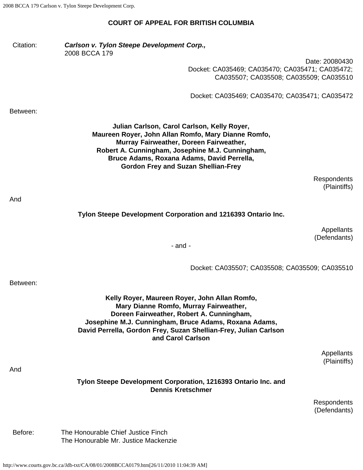# **COURT OF APPEAL FOR BRITISH COLUMBIA**

| Citation: | Carlson v. Tylon Steepe Development Corp.,<br>2008 BCCA 179                                                                                                                                                                                                                                   |
|-----------|-----------------------------------------------------------------------------------------------------------------------------------------------------------------------------------------------------------------------------------------------------------------------------------------------|
|           | Date: 20080430<br>Docket: CA035469; CA035470; CA035471; CA035472;<br>CA035507; CA035508; CA035509; CA035510                                                                                                                                                                                   |
|           | Docket: CA035469; CA035470; CA035471; CA035472                                                                                                                                                                                                                                                |
| Between:  |                                                                                                                                                                                                                                                                                               |
|           | Julian Carlson, Carol Carlson, Kelly Royer,<br>Maureen Royer, John Allan Romfo, Mary Dianne Romfo,<br>Murray Fairweather, Doreen Fairweather,<br>Robert A. Cunningham, Josephine M.J. Cunningham,<br>Bruce Adams, Roxana Adams, David Perrella,<br><b>Gordon Frey and Suzan Shellian-Frey</b> |
|           | <b>Respondents</b><br>(Plaintiffs)                                                                                                                                                                                                                                                            |
| And       | Tylon Steepe Development Corporation and 1216393 Ontario Inc.                                                                                                                                                                                                                                 |
|           | Appellants                                                                                                                                                                                                                                                                                    |
|           | (Defendants)<br>$-$ and $-$                                                                                                                                                                                                                                                                   |
|           |                                                                                                                                                                                                                                                                                               |
|           | Docket: CA035507; CA035508; CA035509; CA035510                                                                                                                                                                                                                                                |
| Between:  |                                                                                                                                                                                                                                                                                               |
|           | Kelly Royer, Maureen Royer, John Allan Romfo,<br>Mary Dianne Romfo, Murray Fairweather,<br>Doreen Fairweather, Robert A. Cunningham,<br>Josephine M.J. Cunningham, Bruce Adams, Roxana Adams,<br>David Perrella, Gordon Frey, Suzan Shellian-Frey, Julian Carlson<br>and Carol Carlson        |
| And       | Appellants<br>(Plaintiffs)                                                                                                                                                                                                                                                                    |
|           | Tylon Steepe Development Corporation, 1216393 Ontario Inc. and<br><b>Dennis Kretschmer</b>                                                                                                                                                                                                    |
|           | Respondents<br>(Defendants)                                                                                                                                                                                                                                                                   |
| Before:   | The Honourable Chief Justice Finch<br>The Honourable Mr. Justice Mackenzie                                                                                                                                                                                                                    |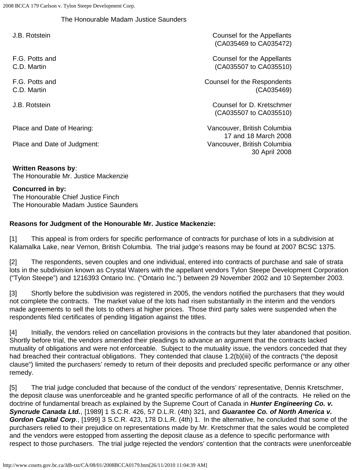## The Honourable Madam Justice Saunders

F.G. Potts and C.D. Martin

F.G. Potts and C.D. Martin

Place and Date of Judgment: Vancouver, British Columbia

J.B. Rotstein Counsel for the Appellants (CA035469 to CA035472)

> Counsel for the Appellants (CA035507 to CA035510)

Counsel for the Respondents (CA035469)

J.B. Rotstein Counsel for D. Kretschmer (CA035507 to CA035510)

Place and Date of Hearing: Vancouver, British Columbia 17 and 18 March 2008 30 April 2008

**Written Reasons by**: The Honourable Mr. Justice Mackenzie

**Concurred in by:**

The Honourable Chief Justice Finch The Honourable Madam Justice Saunders

## **Reasons for Judgment of the Honourable Mr. Justice Mackenzie:**

[1] This appeal is from orders for specific performance of contracts for purchase of lots in a subdivision at Kalamalka Lake, near Vernon, British Columbia. The trial judge's reasons may be found at 2007 BCSC 1375.

[2] The respondents, seven couples and one individual, entered into contracts of purchase and sale of strata lots in the subdivision known as Crystal Waters with the appellant vendors Tylon Steepe Development Corporation ("Tylon Steepe") and 1216393 Ontario Inc. ("Ontario Inc.") between 29 November 2002 and 10 September 2003.

[3] Shortly before the subdivision was registered in 2005, the vendors notified the purchasers that they would not complete the contracts. The market value of the lots had risen substantially in the interim and the vendors made agreements to sell the lots to others at higher prices. Those third party sales were suspended when the respondents filed certificates of pending litigation against the titles.

[4] Initially, the vendors relied on cancellation provisions in the contracts but they later abandoned that position. Shortly before trial, the vendors amended their pleadings to advance an argument that the contracts lacked mutuality of obligations and were not enforceable. Subject to the mutuality issue, the vendors conceded that they had breached their contractual obligations. They contended that clause 1.2(b)(iii) of the contracts ("the deposit clause") limited the purchasers' remedy to return of their deposits and precluded specific performance or any other remedy.

[5] The trial judge concluded that because of the conduct of the vendors' representative, Dennis Kretschmer, the deposit clause was unenforceable and he granted specific performance of all of the contracts. He relied on the doctrine of fundamental breach as explained by the Supreme Court of Canada in *Hunter Engineering Co. v. Syncrude Canada Ltd.*, [1989] 1 S.C.R. 426, 57 D.L.R. (4th) 321, and *Guarantee Co. of North America v. Gordon Capital Corp*., [1999] 3 S.C.R. 423, 178 D.L.R. (4th) 1. In the alternative, he concluded that some of the purchasers relied to their prejudice on representations made by Mr. Kretschmer that the sales would be completed and the vendors were estopped from asserting the deposit clause as a defence to specific performance with respect to those purchasers. The trial judge rejected the vendors' contention that the contracts were unenforceable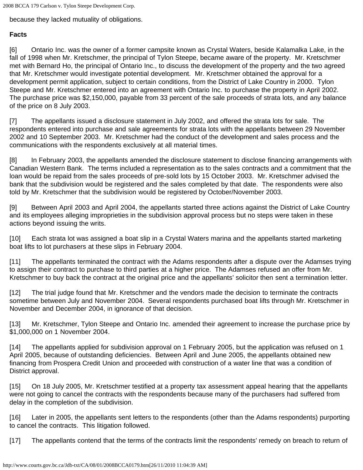because they lacked mutuality of obligations.

### **Facts**

[6] Ontario Inc. was the owner of a former campsite known as Crystal Waters, beside Kalamalka Lake, in the fall of 1998 when Mr. Kretschmer, the principal of Tylon Steepe, became aware of the property. Mr. Kretschmer met with Bernard Ho, the principal of Ontario Inc., to discuss the development of the property and the two agreed that Mr. Kretschmer would investigate potential development. Mr. Kretschmer obtained the approval for a development permit application, subject to certain conditions, from the District of Lake Country in 2000. Tylon Steepe and Mr. Kretschmer entered into an agreement with Ontario Inc. to purchase the property in April 2002. The purchase price was \$2,150,000, payable from 33 percent of the sale proceeds of strata lots, and any balance of the price on 8 July 2003.

[7] The appellants issued a disclosure statement in July 2002, and offered the strata lots for sale. The respondents entered into purchase and sale agreements for strata lots with the appellants between 29 November 2002 and 10 September 2003. Mr. Kretschmer had the conduct of the development and sales process and the communications with the respondents exclusively at all material times.

[8] In February 2003, the appellants amended the disclosure statement to disclose financing arrangements with Canadian Western Bank. The terms included a representation as to the sales contracts and a commitment that the loan would be repaid from the sales proceeds of pre-sold lots by 15 October 2003. Mr. Kretschmer advised the bank that the subdivision would be registered and the sales completed by that date. The respondents were also told by Mr. Kretschmer that the subdivision would be registered by October/November 2003.

[9] Between April 2003 and April 2004, the appellants started three actions against the District of Lake Country and its employees alleging improprieties in the subdivision approval process but no steps were taken in these actions beyond issuing the writs.

[10] Each strata lot was assigned a boat slip in a Crystal Waters marina and the appellants started marketing boat lifts to lot purchasers at these slips in February 2004.

[11] The appellants terminated the contract with the Adams respondents after a dispute over the Adamses trying to assign their contract to purchase to third parties at a higher price. The Adamses refused an offer from Mr. Kretschmer to buy back the contract at the original price and the appellants' solicitor then sent a termination letter.

[12] The trial judge found that Mr. Kretschmer and the vendors made the decision to terminate the contracts sometime between July and November 2004. Several respondents purchased boat lifts through Mr. Kretschmer in November and December 2004, in ignorance of that decision.

[13] Mr. Kretschmer, Tylon Steepe and Ontario Inc. amended their agreement to increase the purchase price by \$1,000,000 on 1 November 2004.

[14] The appellants applied for subdivision approval on 1 February 2005, but the application was refused on 1 April 2005, because of outstanding deficiencies. Between April and June 2005, the appellants obtained new financing from Prospera Credit Union and proceeded with construction of a water line that was a condition of District approval.

[15] On 18 July 2005, Mr. Kretschmer testified at a property tax assessment appeal hearing that the appellants were not going to cancel the contracts with the respondents because many of the purchasers had suffered from delay in the completion of the subdivision.

[16] Later in 2005, the appellants sent letters to the respondents (other than the Adams respondents) purporting to cancel the contracts. This litigation followed.

[17] The appellants contend that the terms of the contracts limit the respondents' remedy on breach to return of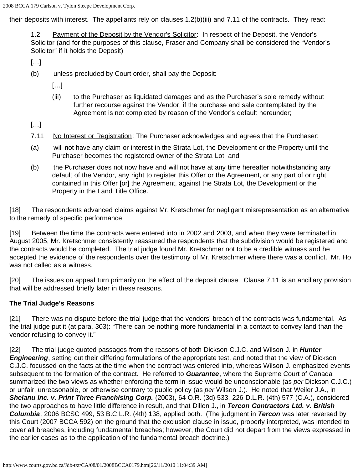their deposits with interest. The appellants rely on clauses 1.2(b)(iii) and 7.11 of the contracts. They read:

1.2 Payment of the Deposit by the Vendor's Solicitor: In respect of the Deposit, the Vendor's Solicitor (and for the purposes of this clause, Fraser and Company shall be considered the "Vendor's Solicitor" if it holds the Deposit)

[…]

(b) unless precluded by Court order, shall pay the Deposit:

[…]

(iii) to the Purchaser as liquidated damages and as the Purchaser's sole remedy without further recourse against the Vendor, if the purchase and sale contemplated by the Agreement is not completed by reason of the Vendor's default hereunder;

[…]

- 7.11 No Interest or Registration: The Purchaser acknowledges and agrees that the Purchaser:
- (a) will not have any claim or interest in the Strata Lot, the Development or the Property until the Purchaser becomes the registered owner of the Strata Lot; and
- (b) the Purchaser does not now have and will not have at any time hereafter notwithstanding any default of the Vendor, any right to register this Offer or the Agreement, or any part of or right contained in this Offer [or] the Agreement, against the Strata Lot, the Development or the Property in the Land Title Office.

[18] The respondents advanced claims against Mr. Kretschmer for negligent misrepresentation as an alternative to the remedy of specific performance.

[19] Between the time the contracts were entered into in 2002 and 2003, and when they were terminated in August 2005, Mr. Kretschmer consistently reassured the respondents that the subdivision would be registered and the contracts would be completed. The trial judge found Mr. Kretschmer not to be a credible witness and he accepted the evidence of the respondents over the testimony of Mr. Kretschmer where there was a conflict. Mr. Ho was not called as a witness.

[20] The issues on appeal turn primarily on the effect of the deposit clause. Clause 7.11 is an ancillary provision that will be addressed briefly later in these reasons.

#### **The Trial Judge's Reasons**

[21] There was no dispute before the trial judge that the vendors' breach of the contracts was fundamental. As the trial judge put it (at para. 303): "There can be nothing more fundamental in a contact to convey land than the vendor refusing to convey it."

[22] The trial judge quoted passages from the reasons of both Dickson C.J.C. and Wilson J. in *Hunter Engineering*, setting out their differing formulations of the appropriate test, and noted that the view of Dickson C.J.C. focussed on the facts at the time when the contract was entered into, whereas Wilson J. emphasized events subsequent to the formation of the contract. He referred to *Guarantee*, where the Supreme Court of Canada summarized the two views as whether enforcing the term in issue would be unconscionable (as *per* Dickson C.J.C.) or unfair, unreasonable, or otherwise contrary to public policy (as *per* Wilson J.). He noted that Weiler J.A., in *Shelanu Inc. v. Print Three Franchising Corp.* (2003), 64 O.R. (3d) 533, 226 D.L.R. (4th) 577 (C.A.), considered the two approaches to have little difference in result, and that Dillon J., in *Tercon Contractors Ltd. v. British Columbia*, 2006 BCSC 499, 53 B.C.L.R. (4th) 138, applied both. (The judgment in *Tercon* was later reversed by this Court (2007 BCCA 592) on the ground that the exclusion clause in issue, properly interpreted, was intended to cover all breaches, including fundamental breaches; however, the Court did not depart from the views expressed in the earlier cases as to the application of the fundamental breach doctrine.)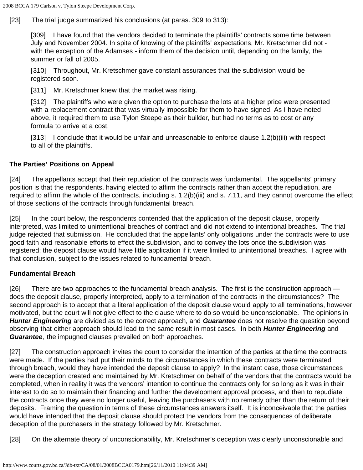[23] The trial judge summarized his conclusions (at paras. 309 to 313):

[309] I have found that the vendors decided to terminate the plaintiffs' contracts some time between July and November 2004. In spite of knowing of the plaintiffs' expectations, Mr. Kretschmer did not with the exception of the Adamses - inform them of the decision until, depending on the family, the summer or fall of 2005.

[310] Throughout, Mr. Kretschmer gave constant assurances that the subdivision would be registered soon.

[311] Mr. Kretschmer knew that the market was rising.

[312] The plaintiffs who were given the option to purchase the lots at a higher price were presented with a replacement contract that was virtually impossible for them to have signed. As I have noted above, it required them to use Tylon Steepe as their builder, but had no terms as to cost or any formula to arrive at a cost.

[313] I conclude that it would be unfair and unreasonable to enforce clause 1.2(b)(iii) with respect to all of the plaintiffs.

### **The Parties' Positions on Appeal**

[24] The appellants accept that their repudiation of the contracts was fundamental. The appellants' primary position is that the respondents, having elected to affirm the contracts rather than accept the repudiation, are required to affirm the whole of the contracts, including s. 1.2(b)(iii) and s. 7.11, and they cannot overcome the effect of those sections of the contracts through fundamental breach.

[25] In the court below, the respondents contended that the application of the deposit clause, properly interpreted, was limited to unintentional breaches of contract and did not extend to intentional breaches. The trial judge rejected that submission. He concluded that the appellants' only obligations under the contracts were to use good faith and reasonable efforts to effect the subdivision, and to convey the lots once the subdivision was registered; the deposit clause would have little application if it were limited to unintentional breaches. I agree with that conclusion, subject to the issues related to fundamental breach.

#### **Fundamental Breach**

[26] There are two approaches to the fundamental breach analysis. The first is the construction approach does the deposit clause, properly interpreted, apply to a termination of the contracts in the circumstances? The second approach is to accept that a literal application of the deposit clause would apply to all terminations, however motivated, but the court will not give effect to the clause where to do so would be unconscionable. The opinions in *Hunter Engineering* are divided as to the correct approach, and *Guarantee* does not resolve the question beyond observing that either approach should lead to the same result in most cases. In both *Hunter Engineering* and *Guarantee*, the impugned clauses prevailed on both approaches.

[27] The construction approach invites the court to consider the intention of the parties at the time the contracts were made. If the parties had put their minds to the circumstances in which these contracts were terminated through breach, would they have intended the deposit clause to apply? In the instant case, those circumstances were the deception created and maintained by Mr. Kretschmer on behalf of the vendors that the contracts would be completed, when in reality it was the vendors' intention to continue the contracts only for so long as it was in their interest to do so to maintain their financing and further the development approval process, and then to repudiate the contracts once they were no longer useful, leaving the purchasers with no remedy other than the return of their deposits. Framing the question in terms of these circumstances answers itself. It is inconceivable that the parties would have intended that the deposit clause should protect the vendors from the consequences of deliberate deception of the purchasers in the strategy followed by Mr. Kretschmer.

[28] On the alternate theory of unconscionability, Mr. Kretschmer's deception was clearly unconscionable and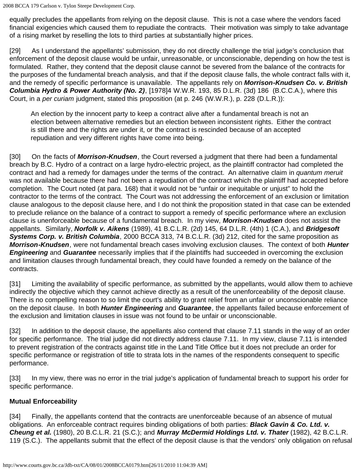equally precludes the appellants from relying on the deposit clause. This is not a case where the vendors faced financial exigencies which caused them to repudiate the contracts. Their motivation was simply to take advantage of a rising market by reselling the lots to third parties at substantially higher prices.

[29] As I understand the appellants' submission, they do not directly challenge the trial judge's conclusion that enforcement of the deposit clause would be unfair, unreasonable, or unconscionable, depending on how the test is formulated. Rather, they contend that the deposit clause cannot be severed from the balance of the contracts for the purposes of the fundamental breach analysis, and that if the deposit clause falls, the whole contract falls with it, and the remedy of specific performance is unavailable. The appellants rely on *Morrison-Knudsen Co. v. British Columbia Hydro & Power Authority (No. 2)*, [1978]4 W.W.R. 193, 85 D.L.R. (3d) 186 (B.C.C.A.), where this Court, in a *per curiam* judgment, stated this proposition (at p. 246 (W.W.R.), p. 228 (D.L.R.)):

An election by the innocent party to keep a contract alive after a fundamental breach is not an election between alternative remedies but an election between inconsistent rights. Either the contract is still there and the rights are under it, or the contract is rescinded because of an accepted repudiation and very different rights have come into being.

[30] On the facts of **Morrison-Knudsen**, the Court reversed a judgment that there had been a fundamental breach by B.C. Hydro of a contract on a large hydro-electric project, as the plaintiff contractor had completed the contract and had a remedy for damages under the terms of the contract. An alternative claim in *quantum meruit* was not available because there had not been a repudiation of the contract which the plaintiff had accepted before completion. The Court noted (at para. 168) that it would not be "unfair or inequitable or unjust" to hold the contractor to the terms of the contract. The Court was not addressing the enforcement of an exclusion or limitation clause analogous to the deposit clause here, and I do not think the proposition stated in that case can be extended to preclude reliance on the balance of a contract to support a remedy of specific performance where an exclusion clause is unenforceable because of a fundamental breach. In my view, *Morrison-Knudsen* does not assist the appellants. Similarly, *Norfolk v. Aikens* (1989), 41 B.C.L.R. (2d) 145, 64 D.L.R. (4th) 1 (C.A.), and *Bridgesoft Systems Corp. v. British Columbia*, 2000 BCCA 313, 74 B.C.L.R. (3d) 212, cited for the same proposition as *Morrison-Knudsen*, were not fundamental breach cases involving exclusion clauses. The context of both *Hunter Engineering* and *Guarantee* necessarily implies that if the plaintiffs had succeeded in overcoming the exclusion and limitation clauses through fundamental breach, they could have founded a remedy on the balance of the contracts.

[31] Limiting the availability of specific performance, as submitted by the appellants, would allow them to achieve indirectly the objective which they cannot achieve directly as a result of the unenforceability of the deposit clause. There is no compelling reason to so limit the court's ability to grant relief from an unfair or unconscionable reliance on the deposit clause. In both *Hunter Engineering* and *Guarantee*, the appellants failed because enforcement of the exclusion and limitation clauses in issue was not found to be unfair or unconscionable.

[32] In addition to the deposit clause, the appellants also contend that clause 7.11 stands in the way of an order for specific performance. The trial judge did not directly address clause 7.11. In my view, clause 7.11 is intended to prevent registration of the contracts against title in the Land Title Office but it does not preclude an order for specific performance or registration of title to strata lots in the names of the respondents consequent to specific performance.

[33] In my view, there was no error in the trial judge's application of fundamental breach to support his order for specific performance.

## **Mutual Enforceability**

[34] Finally, the appellants contend that the contracts are unenforceable because of an absence of mutual obligations. An enforceable contract requires binding obligations of both parties: *Black Gavin & Co. Ltd. v. Cheung et al.* (1980), 20 B.C.L.R. 21 (S.C.); and *Murray McDermid Holdings Ltd. v. Thater* (1982), 42 B.C.L.R. 119 (S.C.). The appellants submit that the effect of the deposit clause is that the vendors' only obligation on refusal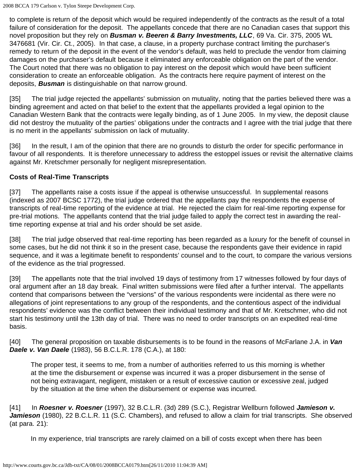to complete is return of the deposit which would be required independently of the contracts as the result of a total failure of consideration for the deposit. The appellants concede that there are no Canadian cases that support this novel proposition but they rely on *Busman v. Beeren & Barry Investments, LLC*, 69 Va. Cir. 375, 2005 WL 3476681 (Vir. Cir. Ct., 2005). In that case, a clause, in a property purchase contract limiting the purchaser's remedy to return of the deposit in the event of the vendor's default, was held to preclude the vendor from claiming damages on the purchaser's default because it eliminated any enforceable obligation on the part of the vendor. The Court noted that there was no obligation to pay interest on the deposit which would have been sufficient consideration to create an enforceable obligation. As the contracts here require payment of interest on the deposits, *Busman* is distinguishable on that narrow ground.

[35] The trial judge rejected the appellants' submission on mutuality, noting that the parties believed there was a binding agreement and acted on that belief to the extent that the appellants provided a legal opinion to the Canadian Western Bank that the contracts were legally binding, as of 1 June 2005. In my view, the deposit clause did not destroy the mutuality of the parties' obligations under the contracts and I agree with the trial judge that there is no merit in the appellants' submission on lack of mutuality.

[36] In the result, I am of the opinion that there are no grounds to disturb the order for specific performance in favour of all respondents. It is therefore unnecessary to address the estoppel issues or revisit the alternative claims against Mr. Kretschmer personally for negligent misrepresentation.

## **Costs of Real-Time Transcripts**

[37] The appellants raise a costs issue if the appeal is otherwise unsuccessful. In supplemental reasons (indexed as 2007 BCSC 1772), the trial judge ordered that the appellants pay the respondents the expense of transcripts of real-time reporting of the evidence at trial. He rejected the claim for real-time reporting expense for pre-trial motions. The appellants contend that the trial judge failed to apply the correct test in awarding the realtime reporting expense at trial and his order should be set aside.

[38] The trial judge observed that real-time reporting has been regarded as a luxury for the benefit of counsel in some cases, but he did not think it so in the present case, because the respondents gave their evidence in rapid sequence, and it was a legitimate benefit to respondents' counsel and to the court, to compare the various versions of the evidence as the trial progressed.

[39] The appellants note that the trial involved 19 days of testimony from 17 witnesses followed by four days of oral argument after an 18 day break. Final written submissions were filed after a further interval. The appellants contend that comparisons between the "versions" of the various respondents were incidental as there were no allegations of joint representations to any group of the respondents, and the contentious aspect of the individual respondents' evidence was the conflict between their individual testimony and that of Mr. Kretschmer, who did not start his testimony until the 13th day of trial. There was no need to order transcripts on an expedited real-time basis.

[40] The general proposition on taxable disbursements is to be found in the reasons of McFarlane J.A. in *Van Daele v. Van Daele* (1983), 56 B.C.L.R. 178 (C.A.), at 180:

The proper test, it seems to me, from a number of authorities referred to us this morning is whether at the time the disbursement or expense was incurred it was a proper disbursement in the sense of not being extravagant, negligent, mistaken or a result of excessive caution or excessive zeal, judged by the situation at the time when the disbursement or expense was incurred.

[41] In *Roesner v. Roesner* (1997), 32 B.C.L.R. (3d) 289 (S.C.), Registrar Wellburn followed *Jamieson v. Jamieson* (1980), 22 B.C.L.R. 11 (S.C. Chambers), and refused to allow a claim for trial transcripts. She observed (at para. 21):

In my experience, trial transcripts are rarely claimed on a bill of costs except when there has been